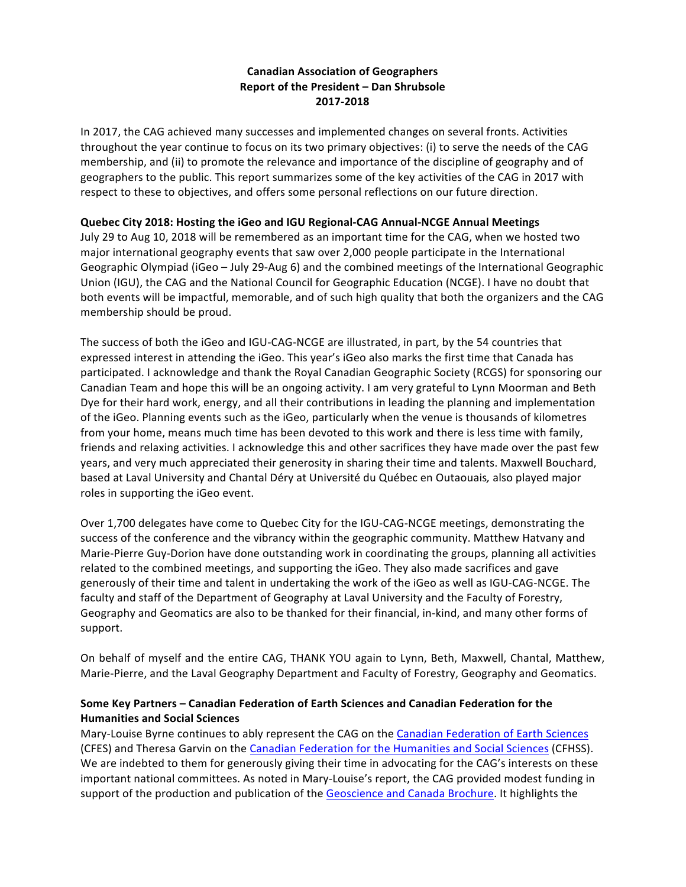# **Canadian Association of Geographers Report of the President - Dan Shrubsole 2017-2018**

In 2017, the CAG achieved many successes and implemented changes on several fronts. Activities throughout the year continue to focus on its two primary objectives: (i) to serve the needs of the CAG membership, and (ii) to promote the relevance and importance of the discipline of geography and of geographers to the public. This report summarizes some of the key activities of the CAG in 2017 with respect to these to objectives, and offers some personal reflections on our future direction.

# **Quebec City 2018: Hosting the iGeo and IGU Regional-CAG Annual-NCGE Annual Meetings**

July 29 to Aug 10, 2018 will be remembered as an important time for the CAG, when we hosted two major international geography events that saw over 2,000 people participate in the International Geographic Olympiad (iGeo – July 29-Aug 6) and the combined meetings of the International Geographic Union (IGU), the CAG and the National Council for Geographic Education (NCGE). I have no doubt that both events will be impactful, memorable, and of such high quality that both the organizers and the CAG membership should be proud.

The success of both the iGeo and IGU-CAG-NCGE are illustrated, in part, by the 54 countries that expressed interest in attending the iGeo. This year's iGeo also marks the first time that Canada has participated. I acknowledge and thank the Royal Canadian Geographic Society (RCGS) for sponsoring our Canadian Team and hope this will be an ongoing activity. I am very grateful to Lynn Moorman and Beth Dye for their hard work, energy, and all their contributions in leading the planning and implementation of the iGeo. Planning events such as the iGeo, particularly when the venue is thousands of kilometres from your home, means much time has been devoted to this work and there is less time with family, friends and relaxing activities. I acknowledge this and other sacrifices they have made over the past few years, and very much appreciated their generosity in sharing their time and talents. Maxwell Bouchard, based at Laval University and Chantal Déry at Université du Québec en Outaouais, also played major roles in supporting the iGeo event.

Over 1,700 delegates have come to Quebec City for the IGU-CAG-NCGE meetings, demonstrating the success of the conference and the vibrancy within the geographic community. Matthew Hatvany and Marie-Pierre Guy-Dorion have done outstanding work in coordinating the groups, planning all activities related to the combined meetings, and supporting the iGeo. They also made sacrifices and gave generously of their time and talent in undertaking the work of the iGeo as well as IGU-CAG-NCGE. The faculty and staff of the Department of Geography at Laval University and the Faculty of Forestry, Geography and Geomatics are also to be thanked for their financial, in-kind, and many other forms of support.

On behalf of myself and the entire CAG, THANK YOU again to Lynn, Beth, Maxwell, Chantal, Matthew, Marie-Pierre, and the Laval Geography Department and Faculty of Forestry, Geography and Geomatics.

# **Some Key Partners – Canadian Federation of Earth Sciences and Canadian Federation for the Humanities and Social Sciences**

Mary-Louise Byrne continues to ably represent the CAG on the Canadian Federation of Earth Sciences (CFES) and Theresa Garvin on the Canadian Federation for the Humanities and Social Sciences (CFHSS). We are indebted to them for generously giving their time in advocating for the CAG's interests on these important national committees. As noted in Mary-Louise's report, the CAG provided modest funding in support of the production and publication of the Geoscience and Canada Brochure. It highlights the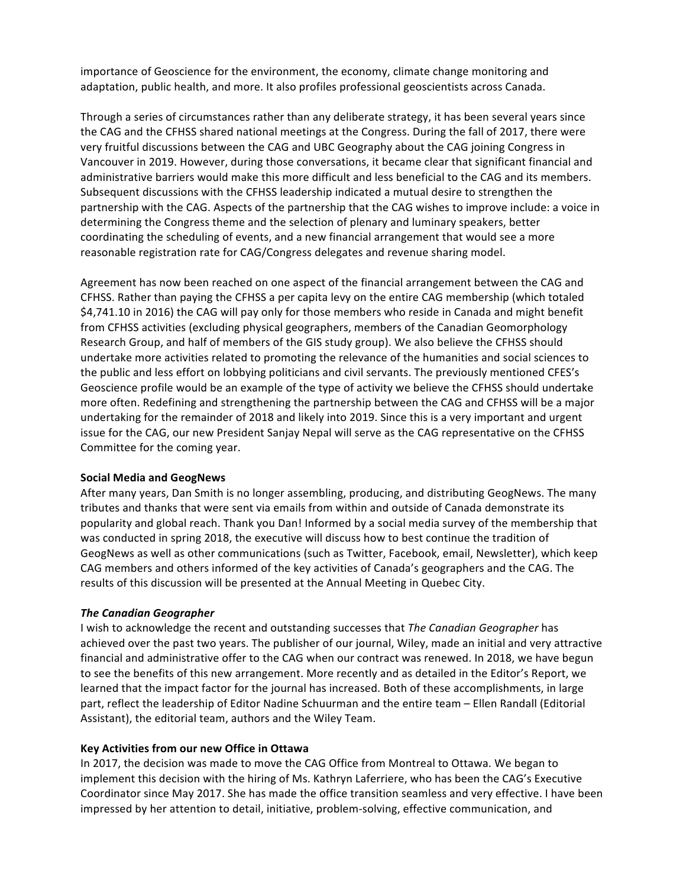importance of Geoscience for the environment, the economy, climate change monitoring and adaptation, public health, and more. It also profiles professional geoscientists across Canada.

Through a series of circumstances rather than any deliberate strategy, it has been several years since the CAG and the CFHSS shared national meetings at the Congress. During the fall of 2017, there were very fruitful discussions between the CAG and UBC Geography about the CAG joining Congress in Vancouver in 2019. However, during those conversations, it became clear that significant financial and administrative barriers would make this more difficult and less beneficial to the CAG and its members. Subsequent discussions with the CFHSS leadership indicated a mutual desire to strengthen the partnership with the CAG. Aspects of the partnership that the CAG wishes to improve include: a voice in determining the Congress theme and the selection of plenary and luminary speakers, better coordinating the scheduling of events, and a new financial arrangement that would see a more reasonable registration rate for CAG/Congress delegates and revenue sharing model.

Agreement has now been reached on one aspect of the financial arrangement between the CAG and CFHSS. Rather than paying the CFHSS a per capita levy on the entire CAG membership (which totaled \$4,741.10 in 2016) the CAG will pay only for those members who reside in Canada and might benefit from CFHSS activities (excluding physical geographers, members of the Canadian Geomorphology Research Group, and half of members of the GIS study group). We also believe the CFHSS should undertake more activities related to promoting the relevance of the humanities and social sciences to the public and less effort on lobbying politicians and civil servants. The previously mentioned CFES's Geoscience profile would be an example of the type of activity we believe the CFHSS should undertake more often. Redefining and strengthening the partnership between the CAG and CFHSS will be a major undertaking for the remainder of 2018 and likely into 2019. Since this is a very important and urgent issue for the CAG, our new President Sanjay Nepal will serve as the CAG representative on the CFHSS Committee for the coming year.

#### **Social Media and GeogNews**

After many years, Dan Smith is no longer assembling, producing, and distributing GeogNews. The many tributes and thanks that were sent via emails from within and outside of Canada demonstrate its popularity and global reach. Thank you Dan! Informed by a social media survey of the membership that was conducted in spring 2018, the executive will discuss how to best continue the tradition of GeogNews as well as other communications (such as Twitter, Facebook, email, Newsletter), which keep CAG members and others informed of the key activities of Canada's geographers and the CAG. The results of this discussion will be presented at the Annual Meeting in Quebec City.

#### *The Canadian Geographer*

I wish to acknowledge the recent and outstanding successes that *The Canadian Geographer* has achieved over the past two years. The publisher of our journal, Wiley, made an initial and very attractive financial and administrative offer to the CAG when our contract was renewed. In 2018, we have begun to see the benefits of this new arrangement. More recently and as detailed in the Editor's Report, we learned that the impact factor for the journal has increased. Both of these accomplishments, in large part, reflect the leadership of Editor Nadine Schuurman and the entire team – Ellen Randall (Editorial Assistant), the editorial team, authors and the Wiley Team.

#### **Key Activities from our new Office in Ottawa**

In 2017, the decision was made to move the CAG Office from Montreal to Ottawa. We began to implement this decision with the hiring of Ms. Kathryn Laferriere, who has been the CAG's Executive Coordinator since May 2017. She has made the office transition seamless and very effective. I have been impressed by her attention to detail, initiative, problem-solving, effective communication, and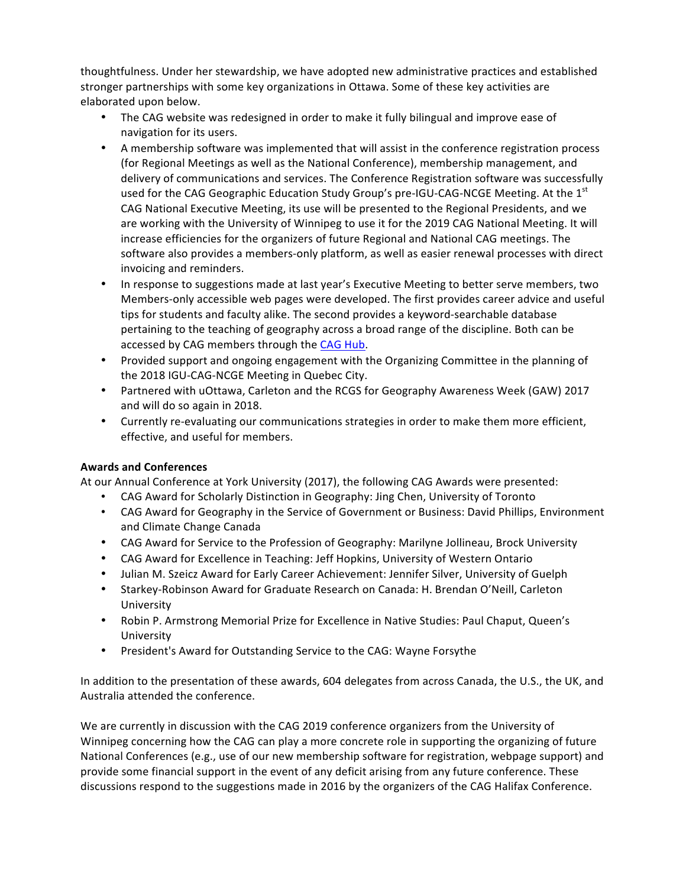thoughtfulness. Under her stewardship, we have adopted new administrative practices and established stronger partnerships with some key organizations in Ottawa. Some of these key activities are elaborated upon below.

- The CAG website was redesigned in order to make it fully bilingual and improve ease of navigation for its users.
- A membership software was implemented that will assist in the conference registration process (for Regional Meetings as well as the National Conference), membership management, and delivery of communications and services. The Conference Registration software was successfully used for the CAG Geographic Education Study Group's pre-IGU-CAG-NCGE Meeting. At the  $1<sup>st</sup>$ CAG National Executive Meeting, its use will be presented to the Regional Presidents, and we are working with the University of Winnipeg to use it for the 2019 CAG National Meeting. It will increase efficiencies for the organizers of future Regional and National CAG meetings. The software also provides a members-only platform, as well as easier renewal processes with direct invoicing and reminders.
- In response to suggestions made at last year's Executive Meeting to better serve members, two Members-only accessible web pages were developed. The first provides career advice and useful tips for students and faculty alike. The second provides a keyword-searchable database pertaining to the teaching of geography across a broad range of the discipline. Both can be accessed by CAG members through the CAG Hub.
- Provided support and ongoing engagement with the Organizing Committee in the planning of the 2018 IGU-CAG-NCGE Meeting in Quebec City.
- Partnered with uOttawa, Carleton and the RCGS for Geography Awareness Week (GAW) 2017 and will do so again in 2018.
- Currently re-evaluating our communications strategies in order to make them more efficient, effective, and useful for members.

# **Awards and Conferences**

At our Annual Conference at York University (2017), the following CAG Awards were presented:

- CAG Award for Scholarly Distinction in Geography: Jing Chen, University of Toronto
- CAG Award for Geography in the Service of Government or Business: David Phillips, Environment and Climate Change Canada
- CAG Award for Service to the Profession of Geography: Marilyne Jollineau, Brock University
- CAG Award for Excellence in Teaching: Jeff Hopkins, University of Western Ontario
- Julian M. Szeicz Award for Early Career Achievement: Jennifer Silver, University of Guelph
- Starkey-Robinson Award for Graduate Research on Canada: H. Brendan O'Neill, Carleton University
- Robin P. Armstrong Memorial Prize for Excellence in Native Studies: Paul Chaput, Queen's University
- President's Award for Outstanding Service to the CAG: Wayne Forsythe

In addition to the presentation of these awards, 604 delegates from across Canada, the U.S., the UK, and Australia attended the conference.

We are currently in discussion with the CAG 2019 conference organizers from the University of Winnipeg concerning how the CAG can play a more concrete role in supporting the organizing of future National Conferences (e.g., use of our new membership software for registration, webpage support) and provide some financial support in the event of any deficit arising from any future conference. These discussions respond to the suggestions made in 2016 by the organizers of the CAG Halifax Conference.